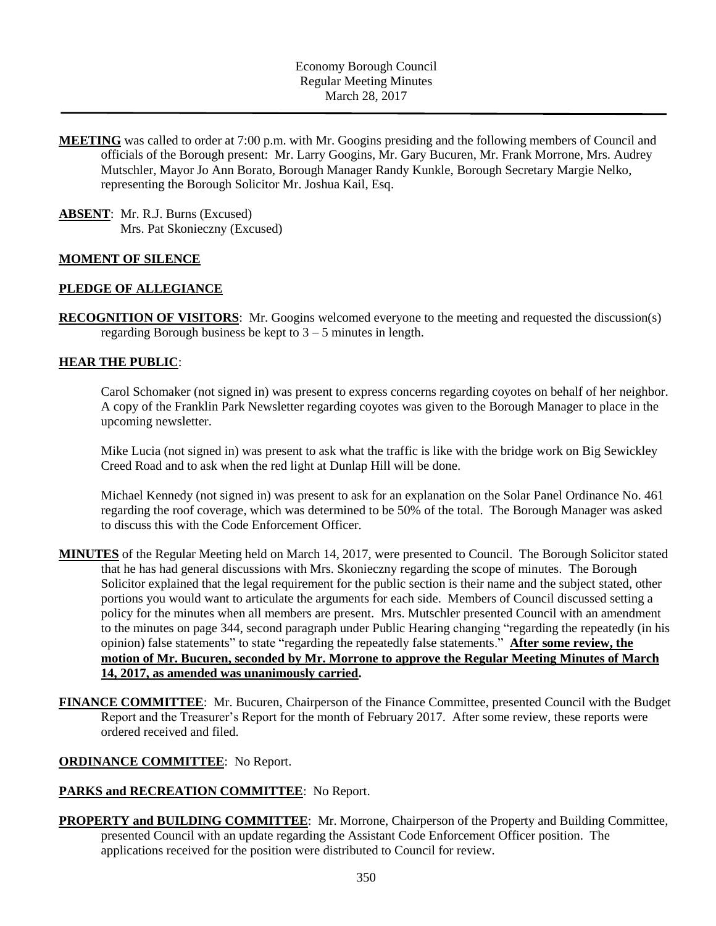**MEETING** was called to order at 7:00 p.m. with Mr. Googins presiding and the following members of Council and officials of the Borough present: Mr. Larry Googins, Mr. Gary Bucuren, Mr. Frank Morrone, Mrs. Audrey Mutschler, Mayor Jo Ann Borato, Borough Manager Randy Kunkle, Borough Secretary Margie Nelko, representing the Borough Solicitor Mr. Joshua Kail, Esq.

**ABSENT**: Mr. R.J. Burns (Excused) Mrs. Pat Skonieczny (Excused)

#### **MOMENT OF SILENCE**

#### **PLEDGE OF ALLEGIANCE**

**RECOGNITION OF VISITORS**: Mr. Googins welcomed everyone to the meeting and requested the discussion(s) regarding Borough business be kept to  $3 - 5$  minutes in length.

#### **HEAR THE PUBLIC**:

Carol Schomaker (not signed in) was present to express concerns regarding coyotes on behalf of her neighbor. A copy of the Franklin Park Newsletter regarding coyotes was given to the Borough Manager to place in the upcoming newsletter.

Mike Lucia (not signed in) was present to ask what the traffic is like with the bridge work on Big Sewickley Creed Road and to ask when the red light at Dunlap Hill will be done.

Michael Kennedy (not signed in) was present to ask for an explanation on the Solar Panel Ordinance No. 461 regarding the roof coverage, which was determined to be 50% of the total. The Borough Manager was asked to discuss this with the Code Enforcement Officer.

- **MINUTES** of the Regular Meeting held on March 14, 2017, were presented to Council. The Borough Solicitor stated that he has had general discussions with Mrs. Skonieczny regarding the scope of minutes. The Borough Solicitor explained that the legal requirement for the public section is their name and the subject stated, other portions you would want to articulate the arguments for each side. Members of Council discussed setting a policy for the minutes when all members are present. Mrs. Mutschler presented Council with an amendment to the minutes on page 344, second paragraph under Public Hearing changing "regarding the repeatedly (in his opinion) false statements" to state "regarding the repeatedly false statements." **After some review, the motion of Mr. Bucuren, seconded by Mr. Morrone to approve the Regular Meeting Minutes of March 14, 2017, as amended was unanimously carried.**
- **FINANCE COMMITTEE**: Mr. Bucuren, Chairperson of the Finance Committee, presented Council with the Budget Report and the Treasurer's Report for the month of February 2017. After some review, these reports were ordered received and filed.

#### **ORDINANCE COMMITTEE**: No Report.

## **PARKS and RECREATION COMMITTEE**: No Report.

**PROPERTY and BUILDING COMMITTEE**: Mr. Morrone, Chairperson of the Property and Building Committee, presented Council with an update regarding the Assistant Code Enforcement Officer position. The applications received for the position were distributed to Council for review.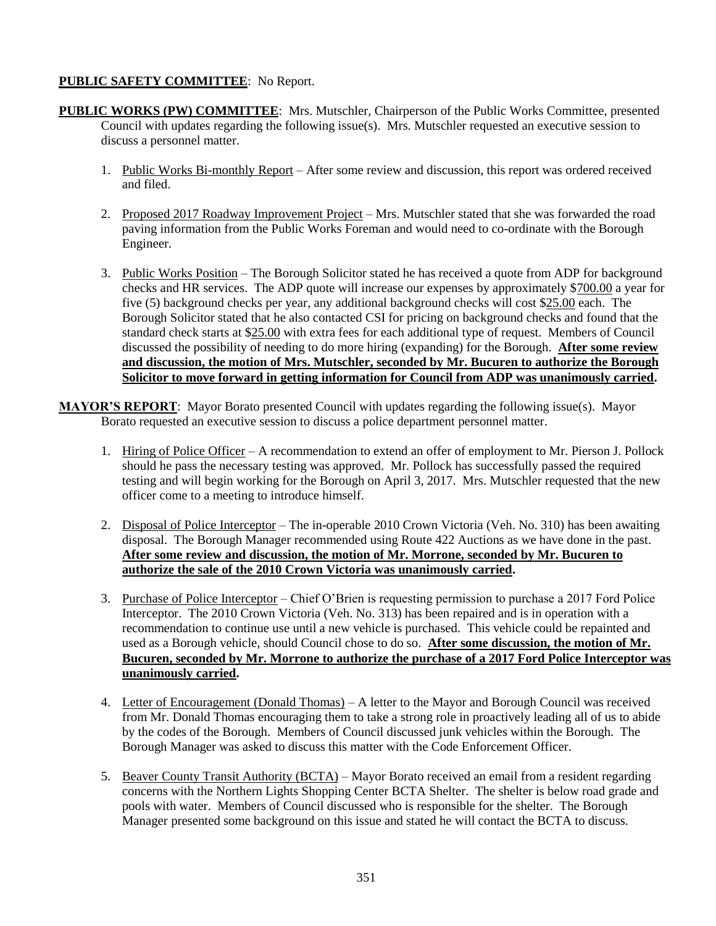# **PUBLIC SAFETY COMMITTEE**: No Report.

- **PUBLIC WORKS (PW) COMMITTEE**: Mrs. Mutschler, Chairperson of the Public Works Committee, presented Council with updates regarding the following issue(s). Mrs. Mutschler requested an executive session to discuss a personnel matter.
	- 1. Public Works Bi-monthly Report After some review and discussion, this report was ordered received and filed.
	- 2. Proposed 2017 Roadway Improvement Project Mrs. Mutschler stated that she was forwarded the road paving information from the Public Works Foreman and would need to co-ordinate with the Borough Engineer.
	- 3. Public Works Position The Borough Solicitor stated he has received a quote from ADP for background checks and HR services. The ADP quote will increase our expenses by approximately \$700.00 a year for five (5) background checks per year, any additional background checks will cost \$25.00 each. The Borough Solicitor stated that he also contacted CSI for pricing on background checks and found that the standard check starts at \$25.00 with extra fees for each additional type of request. Members of Council discussed the possibility of needing to do more hiring (expanding) for the Borough. **After some review and discussion, the motion of Mrs. Mutschler, seconded by Mr. Bucuren to authorize the Borough Solicitor to move forward in getting information for Council from ADP was unanimously carried.**
- **MAYOR'S REPORT**: Mayor Borato presented Council with updates regarding the following issue(s). Mayor Borato requested an executive session to discuss a police department personnel matter.
	- 1. Hiring of Police Officer A recommendation to extend an offer of employment to Mr. Pierson J. Pollock should he pass the necessary testing was approved. Mr. Pollock has successfully passed the required testing and will begin working for the Borough on April 3, 2017. Mrs. Mutschler requested that the new officer come to a meeting to introduce himself.
	- 2. Disposal of Police Interceptor The in-operable 2010 Crown Victoria (Veh. No. 310) has been awaiting disposal. The Borough Manager recommended using Route 422 Auctions as we have done in the past. **After some review and discussion, the motion of Mr. Morrone, seconded by Mr. Bucuren to authorize the sale of the 2010 Crown Victoria was unanimously carried.**
	- 3. Purchase of Police Interceptor Chief O'Brien is requesting permission to purchase a 2017 Ford Police Interceptor. The 2010 Crown Victoria (Veh. No. 313) has been repaired and is in operation with a recommendation to continue use until a new vehicle is purchased. This vehicle could be repainted and used as a Borough vehicle, should Council chose to do so. **After some discussion, the motion of Mr. Bucuren, seconded by Mr. Morrone to authorize the purchase of a 2017 Ford Police Interceptor was unanimously carried.**
	- 4. Letter of Encouragement (Donald Thomas) A letter to the Mayor and Borough Council was received from Mr. Donald Thomas encouraging them to take a strong role in proactively leading all of us to abide by the codes of the Borough. Members of Council discussed junk vehicles within the Borough. The Borough Manager was asked to discuss this matter with the Code Enforcement Officer.
	- 5. Beaver County Transit Authority (BCTA) Mayor Borato received an email from a resident regarding concerns with the Northern Lights Shopping Center BCTA Shelter. The shelter is below road grade and pools with water. Members of Council discussed who is responsible for the shelter. The Borough Manager presented some background on this issue and stated he will contact the BCTA to discuss.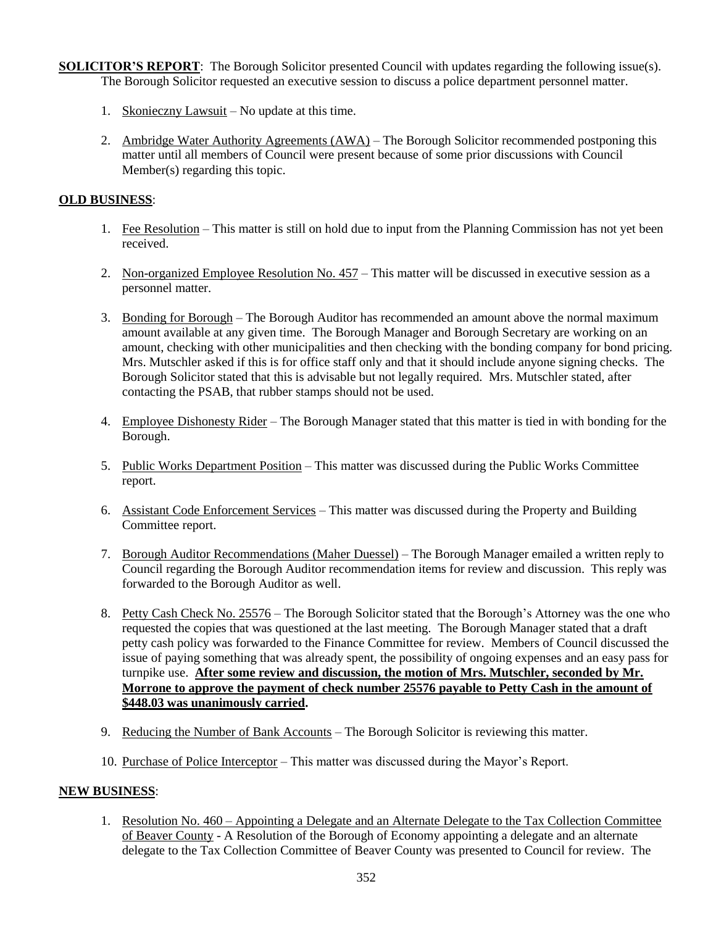**SOLICITOR'S REPORT:** The Borough Solicitor presented Council with updates regarding the following issue(s). The Borough Solicitor requested an executive session to discuss a police department personnel matter.

- 1. Skonieczny Lawsuit No update at this time.
- 2. Ambridge Water Authority Agreements (AWA) The Borough Solicitor recommended postponing this matter until all members of Council were present because of some prior discussions with Council Member(s) regarding this topic.

## **OLD BUSINESS**:

- 1. Fee Resolution This matter is still on hold due to input from the Planning Commission has not yet been received.
- 2. Non-organized Employee Resolution No. 457 This matter will be discussed in executive session as a personnel matter.
- 3. Bonding for Borough The Borough Auditor has recommended an amount above the normal maximum amount available at any given time. The Borough Manager and Borough Secretary are working on an amount, checking with other municipalities and then checking with the bonding company for bond pricing. Mrs. Mutschler asked if this is for office staff only and that it should include anyone signing checks. The Borough Solicitor stated that this is advisable but not legally required. Mrs. Mutschler stated, after contacting the PSAB, that rubber stamps should not be used.
- 4. Employee Dishonesty Rider The Borough Manager stated that this matter is tied in with bonding for the Borough.
- 5. Public Works Department Position This matter was discussed during the Public Works Committee report.
- 6. Assistant Code Enforcement Services This matter was discussed during the Property and Building Committee report.
- 7. Borough Auditor Recommendations (Maher Duessel) The Borough Manager emailed a written reply to Council regarding the Borough Auditor recommendation items for review and discussion. This reply was forwarded to the Borough Auditor as well.
- 8. Petty Cash Check No. 25576 The Borough Solicitor stated that the Borough's Attorney was the one who requested the copies that was questioned at the last meeting. The Borough Manager stated that a draft petty cash policy was forwarded to the Finance Committee for review. Members of Council discussed the issue of paying something that was already spent, the possibility of ongoing expenses and an easy pass for turnpike use. **After some review and discussion, the motion of Mrs. Mutschler, seconded by Mr. Morrone to approve the payment of check number 25576 payable to Petty Cash in the amount of \$448.03 was unanimously carried.**
- 9. Reducing the Number of Bank Accounts The Borough Solicitor is reviewing this matter.
- 10. Purchase of Police Interceptor This matter was discussed during the Mayor's Report.

## **NEW BUSINESS**:

1. Resolution No. 460 – Appointing a Delegate and an Alternate Delegate to the Tax Collection Committee of Beaver County - A Resolution of the Borough of Economy appointing a delegate and an alternate delegate to the Tax Collection Committee of Beaver County was presented to Council for review. The